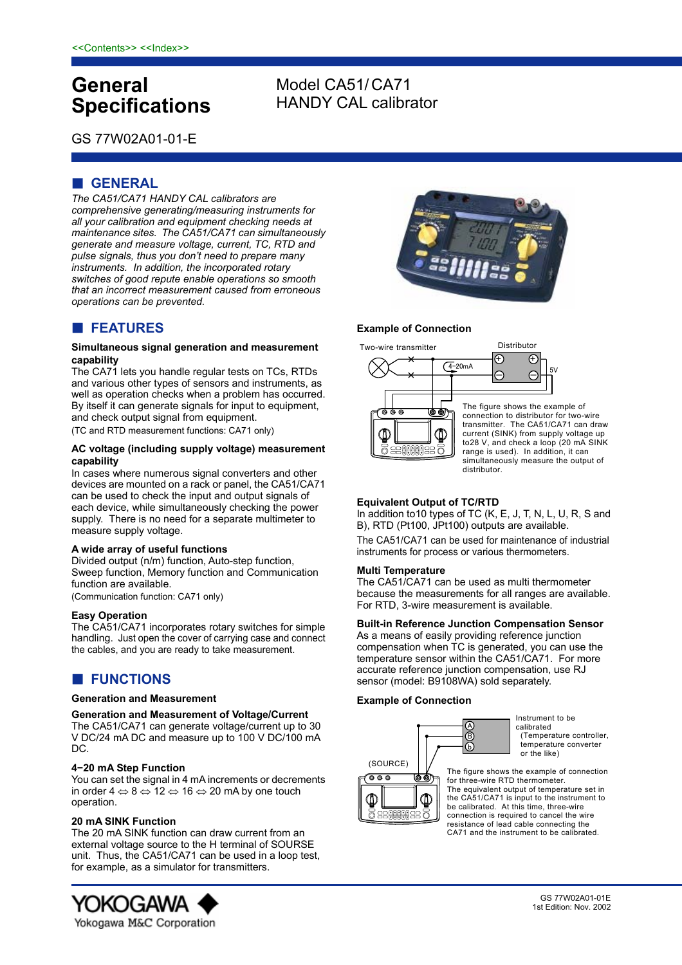# **General Specifications**

# Model CA51/ CA71 HANDY CAL calibrator

GS 77W02A01-01-E

# **GENERAL**

*The CA51/CA71 HANDY CAL calibrators are comprehensive generating/measuring instruments for all your calibration and equipment checking needs at maintenance sites. The CA51/CA71 can simultaneously generate and measure voltage, current, TC, RTD and pulse signals, thus you don't need to prepare many instruments. In addition, the incorporated rotary switches of good repute enable operations so smooth that an incorrect measurement caused from erroneous operations can be prevented.* 

# **FEATURES**

### **Simultaneous signal generation and measurement capability**

The CA71 lets you handle regular tests on TCs, RTDs and various other types of sensors and instruments, as well as operation checks when a problem has occurred. By itself it can generate signals for input to equipment, and check output signal from equipment.

(TC and RTD measurement functions: CA71 only)

### **AC voltage (including supply voltage) measurement capability**

In cases where numerous signal converters and other devices are mounted on a rack or panel, the CA51/CA71 can be used to check the input and output signals of each device, while simultaneously checking the power supply. There is no need for a separate multimeter to measure supply voltage.

### **A wide array of useful functions**

Divided output (n/m) function, Auto-step function, Sweep function, Memory function and Communication function are available.

(Communication function: CA71 only)

### **Easy Operation**

The CA51/CA71 incorporates rotary switches for simple handling. Just open the cover of carrying case and connect the cables, and you are ready to take measurement.

# **FUNCTIONS**

### **Generation and Measurement**

**Generation and Measurement of Voltage/Current**  The CA51/CA71 can generate voltage/current up to 30 V DC/24 mA DC and measure up to 100 V DC/100 mA DC.

### **4−20 mA Step Function**

You can set the signal in 4 mA increments or decrements in order 4  $\Leftrightarrow$  8  $\Leftrightarrow$  12  $\Leftrightarrow$  16  $\Leftrightarrow$  20 mA by one touch operation.

### **20 mA SINK Function**

The 20 mA SINK function can draw current from an external voltage source to the H terminal of SOURSE unit. Thus, the CA51/CA71 can be used in a loop test, for example, as a simulator for transmitters.





### **Example of Connection**



### **Equivalent Output of TC/RTD**

In addition to10 types of TC (K, E, J, T, N, L, U, R, S and B), RTD (Pt100, JPt100) outputs are available.

The CA51/CA71 can be used for maintenance of industrial instruments for process or various thermometers.

### **Multi Temperature**

The CA51/CA71 can be used as multi thermometer because the measurements for all ranges are available. For RTD, 3-wire measurement is available.

### **Built-in Reference Junction Compensation Sensor**

As a means of easily providing reference junction compensation when TC is generated, you can use the temperature sensor within the CA51/CA71. For more accurate reference junction compensation, use RJ sensor (model: B9108WA) sold separately.

### **Example of Connection**



ጤ

**BRANCH** 

Instrument to be calibrated (Temperature controller, temperature converter or the like)

The figure shows the example of connection for three-wire RTD thermometer. The equivalent output of temperature set in the CA51/CA71 is input to the instrument to be calibrated. At this time, three-wire connection is required to cancel the wire resistance of lead cable connecting the CA71 and the instrument to be calibrated.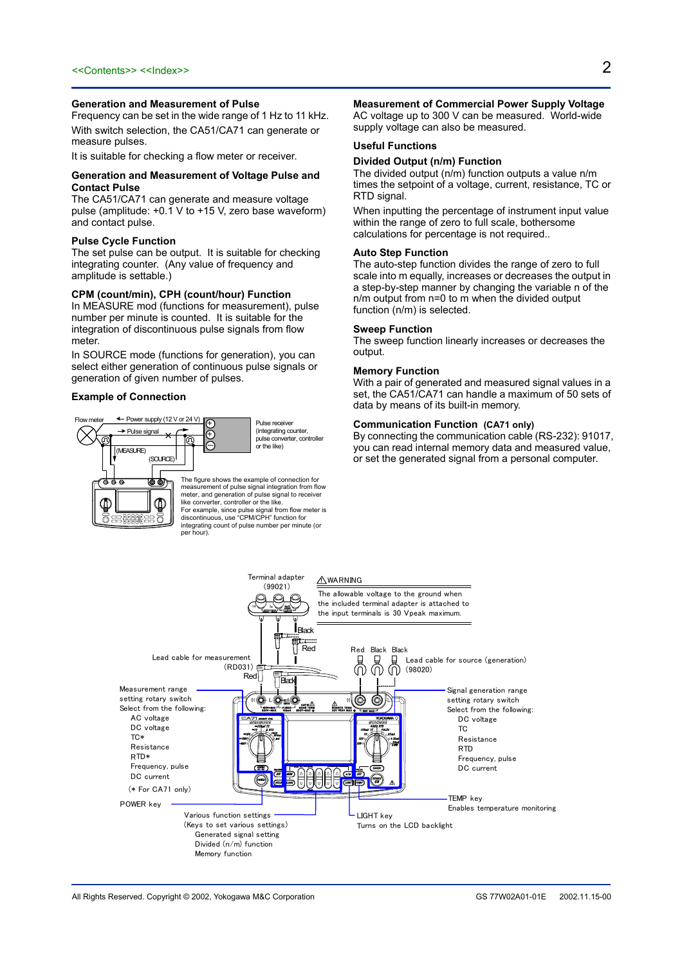#### **Generation and Measurement of Pulse**

Frequency can be set in the wide range of 1 Hz to 11 kHz. With switch selection, the CA51/CA71 can generate or measure pulses.

It is suitable for checking a flow meter or receiver.

#### **Generation and Measurement of Voltage Pulse and Contact Pulse**

The CA51/CA71 can generate and measure voltage pulse (amplitude:  $+0.1$  V to  $+15$  V, zero base waveform) and contact pulse.

#### **Pulse Cycle Function**

The set pulse can be output. It is suitable for checking integrating counter. (Any value of frequency and amplitude is settable.)

#### **CPM (count/min), CPH (count/hour) Function**

In MEASURE mod (functions for measurement), pulse number per minute is counted. It is suitable for the integration of discontinuous pulse signals from flow meter.

In SOURCE mode (functions for generation), you can select either generation of continuous pulse signals or generation of given number of pulses.

#### **Example of Connection**



#### **Measurement of Commercial Power Supply Voltage**  AC voltage up to 300 V can be measured. World-wide supply voltage can also be measured.

#### **Useful Functions**

#### **Divided Output (n/m) Function**

The divided output (n/m) function outputs a value n/m times the setpoint of a voltage, current, resistance, TC or RTD signal.

When inputting the percentage of instrument input value within the range of zero to full scale, bothersome calculations for percentage is not required..

#### **Auto Step Function**

The auto-step function divides the range of zero to full scale into m equally, increases or decreases the output in a step-by-step manner by changing the variable n of the n/m output from n=0 to m when the divided output function (n/m) is selected.

#### **Sweep Function**

The sweep function linearly increases or decreases the output.

### **Memory Function**

With a pair of generated and measured signal values in a set, the CA51/CA71 can handle a maximum of 50 sets of data by means of its built-in memory.

#### **Communication Function (CA71 only)**

By connecting the communication cable (RS-232): 91017, you can read internal memory data and measured value, or set the generated signal from a personal computer.

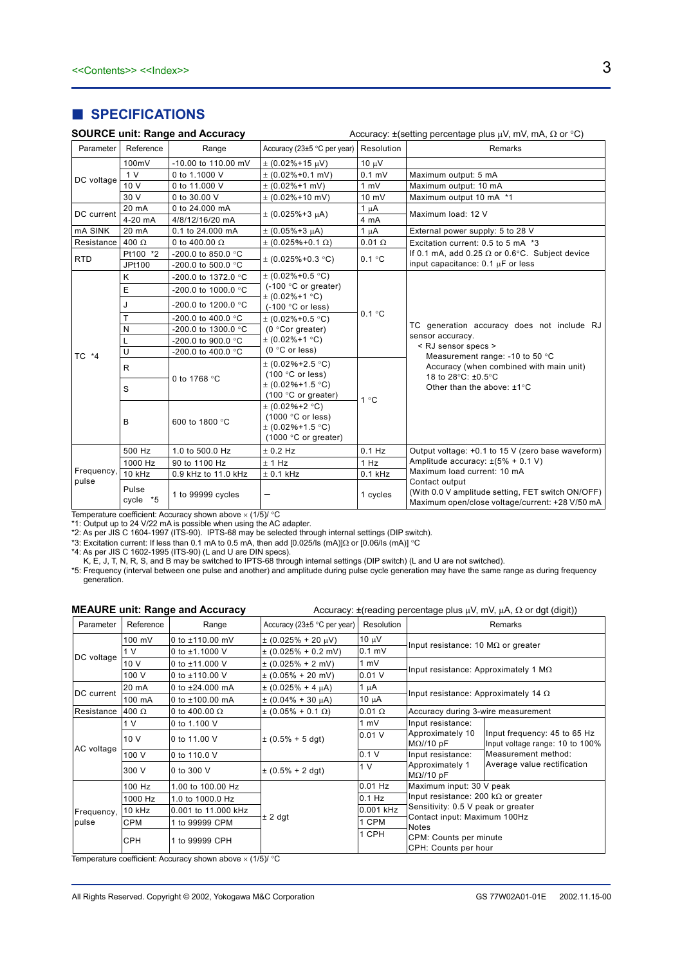## **B** SPECIFICATIONS

|  |  |  |  | <b>SOURCE unit: Range and Accuracy</b> |
|--|--|--|--|----------------------------------------|
|--|--|--|--|----------------------------------------|

| <b>SOURCE unit: Range and Accuracy</b><br>Accuracy: $\pm$ (setting percentage plus $\mu$ V, mV, mA, $\Omega$ or °C) |                         |                              |                                                                                            |               |                                                                                                                                                                                                                         |  |
|---------------------------------------------------------------------------------------------------------------------|-------------------------|------------------------------|--------------------------------------------------------------------------------------------|---------------|-------------------------------------------------------------------------------------------------------------------------------------------------------------------------------------------------------------------------|--|
| Parameter                                                                                                           | Reference               | Range                        | Accuracy (23±5 °C per year)                                                                | Resolution    | Remarks                                                                                                                                                                                                                 |  |
|                                                                                                                     | 100mV                   | -10.00 to 110.00 mV          | $\pm$ (0.02%+15 $\mu$ V)                                                                   | 10 µV         |                                                                                                                                                                                                                         |  |
| DC voltage                                                                                                          | 1 <sub>V</sub>          | 0 to 1.1000 V                | $\pm$ (0.02%+0.1 mV)                                                                       | $0.1$ mV      | Maximum output: 5 mA                                                                                                                                                                                                    |  |
|                                                                                                                     | 10 V                    | 0 to 11,000 V                | $\pm$ (0.02%+1 mV)                                                                         | 1 mV          | Maximum output: 10 mA                                                                                                                                                                                                   |  |
|                                                                                                                     | 30 V                    | 0 to 30,00 V                 | $\pm$ (0.02%+10 mV)                                                                        | 10 mV         | Maximum output 10 mA *1                                                                                                                                                                                                 |  |
| DC current                                                                                                          | 20 mA<br>0 to 24.000 mA |                              | $\pm$ (0.025%+3 $\mu$ A)                                                                   | $1 \mu A$     | Maximum load: 12 V                                                                                                                                                                                                      |  |
|                                                                                                                     | 4-20 mA                 | 4/8/12/16/20 mA              |                                                                                            | 4 mA          |                                                                                                                                                                                                                         |  |
| mA SINK                                                                                                             | 20 mA                   | 0.1 to 24.000 mA             | $\pm$ (0.05%+3 $\mu$ A)                                                                    | $1 \mu A$     | External power supply: 5 to 28 V                                                                                                                                                                                        |  |
| Resistance 400 $\Omega$                                                                                             |                         | 0 to 400.00 $\Omega$         | $\pm$ (0.025%+0.1 $\Omega$ )                                                               | $0.01 \Omega$ | Excitation current: 0.5 to 5 mA *3                                                                                                                                                                                      |  |
| <b>RTD</b>                                                                                                          | Pt100 *2                | -200.0 to 850.0 $^{\circ}$ C | $\pm$ (0.025%+0.3 °C)                                                                      | 0.1 °C        | If 0.1 mA, add 0.25 $\Omega$ or 0.6°C. Subject device                                                                                                                                                                   |  |
|                                                                                                                     | JPt100                  | $-200.0$ to 500.0 °C         |                                                                                            |               | input capacitance: 0.1 µF or less                                                                                                                                                                                       |  |
|                                                                                                                     | Κ                       | -200.0 to 1372.0 °C          | $\pm$ (0.02%+0.5 °C)                                                                       |               |                                                                                                                                                                                                                         |  |
|                                                                                                                     | E                       | -200.0 to 1000.0 °C          | (-100 °C or greater)<br>$\pm$ (0.02%+1 °C)                                                 | 0.1 °C        |                                                                                                                                                                                                                         |  |
|                                                                                                                     | J                       | -200.0 to 1200.0 °C          | $(-100 °C)$ or less)<br>$\pm$ (0.02%+0.5 °C)<br>(0 °Cor greater)<br>$\pm$ (0.02%+1 °C)     |               | TC generation accuracy does not include RJ<br>sensor accuracy.<br>< RJ sensor specs ><br>Measurement range: -10 to 50 °C<br>Accuracy (when combined with main unit)<br>18 to 28°C: ±0.5°C<br>Other than the above: ±1°C |  |
|                                                                                                                     | T                       | -200.0 to 400.0 °C           |                                                                                            |               |                                                                                                                                                                                                                         |  |
|                                                                                                                     | ${\sf N}$               | -200.0 to 1300.0 °C          |                                                                                            |               |                                                                                                                                                                                                                         |  |
|                                                                                                                     | L                       | $-200.0$ to $900.0$ °C       |                                                                                            |               |                                                                                                                                                                                                                         |  |
| TC *4                                                                                                               | U                       | -200.0 to 400.0 °C           | $(0 °C$ or less)                                                                           |               |                                                                                                                                                                                                                         |  |
|                                                                                                                     | R                       | 0 to 1768 °C                 | $\pm$ (0.02%+2.5 °C)<br>$(100 °C)$ or less)                                                | 1°C           |                                                                                                                                                                                                                         |  |
|                                                                                                                     | S                       |                              | $\pm$ (0.02%+1.5 °C)<br>$(100 °C)$ or greater)                                             |               |                                                                                                                                                                                                                         |  |
|                                                                                                                     | B                       | 600 to 1800 °C               | $\pm$ (0.02%+2 °C)<br>(1000 °C or less)<br>$\pm$ (0.02%+1.5 °C)<br>$(1000 °C)$ or greater) |               |                                                                                                                                                                                                                         |  |
|                                                                                                                     | 500 Hz                  | 1.0 to 500.0 Hz              | $±$ 0.2 Hz                                                                                 | $0.1$ Hz      | Output voltage: +0.1 to 15 V (zero base waveform)                                                                                                                                                                       |  |
|                                                                                                                     | 1000 Hz                 | 90 to 1100 Hz                | ± 1 Hz                                                                                     | 1 Hz          | Amplitude accuracy: $\pm(5\% + 0.1 \text{ V})$                                                                                                                                                                          |  |
| Frequency,                                                                                                          | 10 kHz                  | 0.9 kHz to 11.0 kHz          | $± 0.1$ kHz                                                                                | $0.1$ kHz     | Maximum load current: 10 mA                                                                                                                                                                                             |  |
| pulse                                                                                                               | Pulse<br>cycle *5       | 1 to 99999 cycles            |                                                                                            | 1 cycles      | Contact output<br>(With 0.0 V amplitude setting, FET switch ON/OFF)<br>Maximum open/close voltage/current: +28 V/50 mA                                                                                                  |  |

Temperature coefficient: Accuracy shown above  $\times$  (1/5)/ °C

\*1: Output up to 24 V/22 mA is possible when using the AC adapter.

\*2: As per JIS C 1604-1997 (ITS-90). IPTS-68 may be selected through internal settings (DIP switch).

\*3: Excitation current: If less than 0.1 mA to 0.5 mA, then add [0.025/Is (mA)] $\Omega$  or [0.06/Is (mA)] °C

\*4: As per JIS C 1602-1995 (ITS-90) (L and U are DIN specs).

K, E, J, T, N, R, S, and B may be switched to IPTS-68 through internal settings (DIP switch) (L and U are not switched).

\*5: Frequency (interval between one pulse and another) and amplitude during pulse cycle generation may have the same range as during frequency generation.

|  | <b>MEAURE unit: Range and Accuracy</b> |  | Accuracy: $\pm$ (reading percentage plus $\mu$ V, mV, $\mu$ A, $\Omega$ or dgt (digit)) |  |
|--|----------------------------------------|--|-----------------------------------------------------------------------------------------|--|
|  |                                        |  |                                                                                         |  |

| Parameter  | Reference    | Range                | Accuracy (23±5 °C per year) | Resolution    |                                                                                                                                                               | Remarks                                                         |
|------------|--------------|----------------------|-----------------------------|---------------|---------------------------------------------------------------------------------------------------------------------------------------------------------------|-----------------------------------------------------------------|
|            | 100 mV       | 0 to ±110.00 mV      | $\pm$ (0.025% + 20 µV)      | 10 $\mu$ V    | Input resistance: 10 $M\Omega$ or greater                                                                                                                     |                                                                 |
| DC voltage | 1 V          | 0 to $±1.1000$ V     | $\pm$ (0.025% + 0.2 mV)     | $0.1$ mV      |                                                                                                                                                               |                                                                 |
|            | 10 V         | 0 to ±11.000 V       | $\pm$ (0.025% + 2 mV)       | 1 mV          |                                                                                                                                                               |                                                                 |
|            | 100 V        | 0 to ±110.00 V       | $\pm$ (0.05% + 20 mV)       | 0.01V         | Input resistance: Approximately 1 $M\Omega$                                                                                                                   |                                                                 |
| DC current | 20 mA        | 0 to $±24.000$ mA    | $\pm$ (0.025% + 4 $\mu$ A)  | $1 \mu A$     | Input resistance: Approximately 14 $\Omega$                                                                                                                   |                                                                 |
|            | 100 mA       | 0 to $±100.00$ mA    | $\pm (0.04\% + 30 \mu A)$   | $10 \mu A$    |                                                                                                                                                               |                                                                 |
| Resistance | 400 $\Omega$ | 0 to 400.00 $\Omega$ | $\pm (0.05\% + 0.1 \Omega)$ | $0.01 \Omega$ | Accuracy during 3-wire measurement                                                                                                                            |                                                                 |
|            | 1 V          | 0 to 1.100 V         | $\pm$ (0.5% + 5 dgt)        | 1 mV          | Input resistance:                                                                                                                                             |                                                                 |
|            | 10 V         | 0 to 11.00 V         |                             | 0.01V         | Approximately 10<br>$M\Omega$ //10 pF                                                                                                                         | Input frequency: 45 to 65 Hz<br>Input voltage range: 10 to 100% |
| AC voltage | 100 V        | 0 to 110.0 V         |                             | 0.1V          | Input resistance:                                                                                                                                             | Measurement method:                                             |
|            | 300 V        | 0 to 300 V           | $\pm$ (0.5% + 2 dgt)        | 1 V           | Approximately 1<br>$M\Omega//10$ pF                                                                                                                           | Average value rectification                                     |
|            | 100 Hz       | 1.00 to 100.00 Hz    |                             | $0.01$ Hz     | Maximum input: 30 V peak<br>Input resistance: 200 k $\Omega$ or greater<br>Sensitivity: 0.5 V peak or greater<br>Contact input: Maximum 100Hz<br><b>Notes</b> |                                                                 |
|            | 1000 Hz      | 1.0 to 1000.0 Hz     |                             | $0.1$ Hz      |                                                                                                                                                               |                                                                 |
| Frequency, | 10 kHz       | 0.001 to 11.000 kHz  | $± 2$ dgt                   | 0.001 kHz     |                                                                                                                                                               |                                                                 |
| pulse      | <b>CPM</b>   | 1 to 99999 CPM       |                             | 1 CPM         |                                                                                                                                                               |                                                                 |
|            | <b>CPH</b>   | 1 to 99999 CPH       |                             | 1 CPH         | CPM: Counts per minute<br>CPH: Counts per hour                                                                                                                |                                                                 |

Temperature coefficient: Accuracy shown above  $\times$  (1/5)/ °C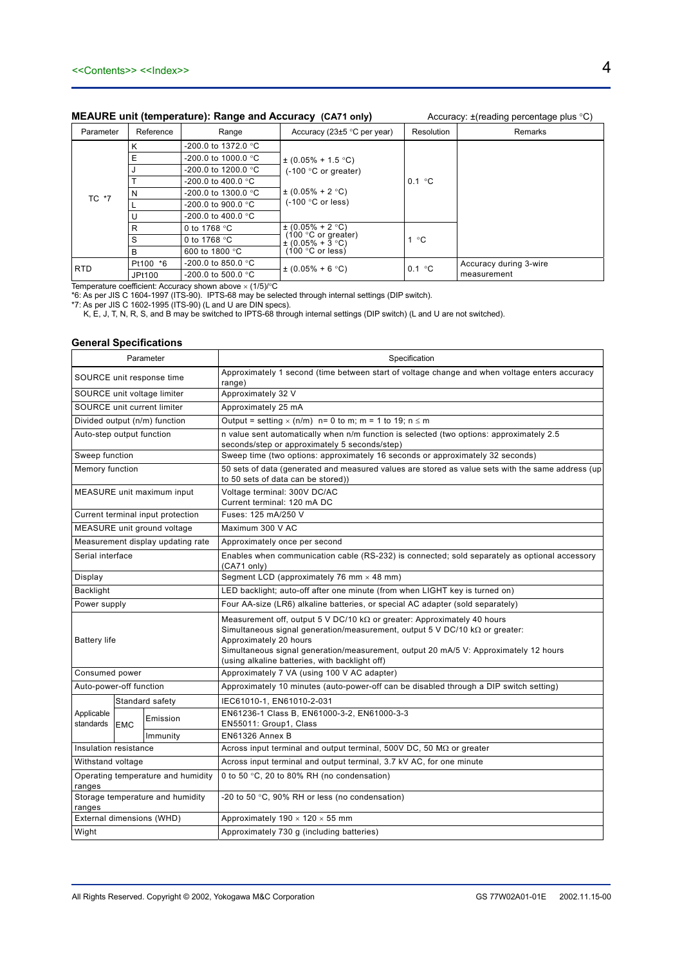### **MEAURE unit (temperature): Range and Accuracy (CA71 only)** Accuracy: ±(reading percentage plus °C)

| Parameter  | Reference            | Range                         | Accuracy (23 $\pm$ 5 °C per year)                   | Resolution   | Remarks                |
|------------|----------------------|-------------------------------|-----------------------------------------------------|--------------|------------------------|
|            | κ                    | -200.0 to 1372.0 °C           |                                                     |              |                        |
|            | E                    | $-200.0$ to 1000.0 °C         | $\pm (0.05\% + 1.5 \degree C)$                      |              |                        |
|            |                      | $-200.0$ to 1200.0 °C         | $(-100 °C)$ or greater)                             |              |                        |
|            | $-200.0$ to 400.0 °C |                               | 0.1 °C                                              |              |                        |
| TC *7      | N                    | -200.0 to 1300.0 $^{\circ}$ C | $\pm (0.05\% + 2\degree C)$<br>$(-100 °C)$ or less) |              |                        |
|            |                      | $-200.0$ to 900.0 °C          |                                                     |              |                        |
|            | U                    | $-200.0$ to 400.0 °C          |                                                     |              |                        |
|            | R                    | 0 to 1768 $°C$                | $\pm (0.05\% + 2$ °C)                               | $^{\circ}$ C |                        |
|            | S                    | 0 to 1768 $\degree$ C         | 100 °C or greater)<br>$\pm$ (0.05% + 3 °C)          |              |                        |
|            | B                    | 600 to 1800 °C                | 100 $\degree$ C or less)                            |              |                        |
| <b>RTD</b> | Pt100 *6             | $-200.0$ to 850.0 °C          |                                                     | 0.1 °C       | Accuracy during 3-wire |
|            | JPt100               | $-200.0$ to 500.0 °C          | $\pm (0.05\% + 6\degree C)$                         |              | measurement            |

Temperature coefficient: Accuracy shown above  $\times$  (1/5)/ $\textdegree$ C

\*6: As per JIS C 1604-1997 (ITS-90). IPTS-68 may be selected through internal settings (DIP switch).

\*7: As per JIS C 1602-1995 (ITS-90) (L and U are DIN specs).

K, E, J, T, N, R, S, and B may be switched to IPTS-68 through internal settings (DIP switch) (L and U are not switched).

### **General Specifications**

| Parameter                   |                           |                                    | Specification                                                                                                                                                                                                                                                                                                                             |  |  |
|-----------------------------|---------------------------|------------------------------------|-------------------------------------------------------------------------------------------------------------------------------------------------------------------------------------------------------------------------------------------------------------------------------------------------------------------------------------------|--|--|
|                             | SOURCE unit response time |                                    | Approximately 1 second (time between start of voltage change and when voltage enters accuracy<br>range)                                                                                                                                                                                                                                   |  |  |
| SOURCE unit voltage limiter |                           |                                    | Approximately 32 V                                                                                                                                                                                                                                                                                                                        |  |  |
|                             |                           | SOURCE unit current limiter        | Approximately 25 mA                                                                                                                                                                                                                                                                                                                       |  |  |
|                             |                           | Divided output (n/m) function      | Output = setting $\times$ (n/m) n= 0 to m; m = 1 to 19; n $\leq$ m                                                                                                                                                                                                                                                                        |  |  |
| Auto-step output function   |                           |                                    | n value sent automatically when n/m function is selected (two options: approximately 2.5<br>seconds/step or approximately 5 seconds/step)                                                                                                                                                                                                 |  |  |
| Sweep function              |                           |                                    | Sweep time (two options: approximately 16 seconds or approximately 32 seconds)                                                                                                                                                                                                                                                            |  |  |
| Memory function             |                           |                                    | 50 sets of data (generated and measured values are stored as value sets with the same address (up<br>to 50 sets of data can be stored))                                                                                                                                                                                                   |  |  |
|                             |                           | MEASURE unit maximum input         | Voltage terminal: 300V DC/AC<br>Current terminal: 120 mA DC                                                                                                                                                                                                                                                                               |  |  |
|                             |                           | Current terminal input protection  | Fuses: 125 mA/250 V                                                                                                                                                                                                                                                                                                                       |  |  |
|                             |                           | MEASURE unit ground voltage        | Maximum 300 V AC                                                                                                                                                                                                                                                                                                                          |  |  |
|                             |                           | Measurement display updating rate  | Approximately once per second                                                                                                                                                                                                                                                                                                             |  |  |
| Serial interface            |                           |                                    | Enables when communication cable (RS-232) is connected; sold separately as optional accessory<br>(CA71 only)                                                                                                                                                                                                                              |  |  |
| Display                     |                           |                                    | Segment LCD (approximately 76 mm $\times$ 48 mm)                                                                                                                                                                                                                                                                                          |  |  |
| <b>Backlight</b>            |                           |                                    | LED backlight; auto-off after one minute (from when LIGHT key is turned on)                                                                                                                                                                                                                                                               |  |  |
|                             | Power supply              |                                    | Four AA-size (LR6) alkaline batteries, or special AC adapter (sold separately)                                                                                                                                                                                                                                                            |  |  |
| <b>Battery life</b>         |                           |                                    | Measurement off, output 5 V DC/10 k $\Omega$ or greater: Approximately 40 hours<br>Simultaneous signal generation/measurement, output 5 V DC/10 $k\Omega$ or greater:<br>Approximately 20 hours<br>Simultaneous signal generation/measurement, output 20 mA/5 V: Approximately 12 hours<br>(using alkaline batteries, with backlight off) |  |  |
| Consumed power              |                           |                                    | Approximately 7 VA (using 100 V AC adapter)                                                                                                                                                                                                                                                                                               |  |  |
| Auto-power-off function     |                           |                                    | Approximately 10 minutes (auto-power-off can be disabled through a DIP switch setting)                                                                                                                                                                                                                                                    |  |  |
|                             |                           | Standard safety                    | IEC61010-1, EN61010-2-031                                                                                                                                                                                                                                                                                                                 |  |  |
| Applicable<br>standards     | <b>EMC</b>                | Emission                           | EN61236-1 Class B, EN61000-3-2, EN61000-3-3<br>EN55011: Group1, Class                                                                                                                                                                                                                                                                     |  |  |
|                             |                           | Immunity                           | EN61326 Annex B                                                                                                                                                                                                                                                                                                                           |  |  |
| Insulation resistance       |                           |                                    | Across input terminal and output terminal, 500V DC, 50 $M\Omega$ or greater                                                                                                                                                                                                                                                               |  |  |
|                             | Withstand voltage         |                                    | Across input terminal and output terminal, 3.7 kV AC, for one minute                                                                                                                                                                                                                                                                      |  |  |
| ranges                      |                           | Operating temperature and humidity | 0 to 50 °C, 20 to 80% RH (no condensation)                                                                                                                                                                                                                                                                                                |  |  |
| ranges                      |                           | Storage temperature and humidity   | -20 to 50 °C, 90% RH or less (no condensation)                                                                                                                                                                                                                                                                                            |  |  |
|                             |                           | External dimensions (WHD)          | Approximately $190 \times 120 \times 55$ mm                                                                                                                                                                                                                                                                                               |  |  |
| Wight                       |                           |                                    | Approximately 730 g (including batteries)                                                                                                                                                                                                                                                                                                 |  |  |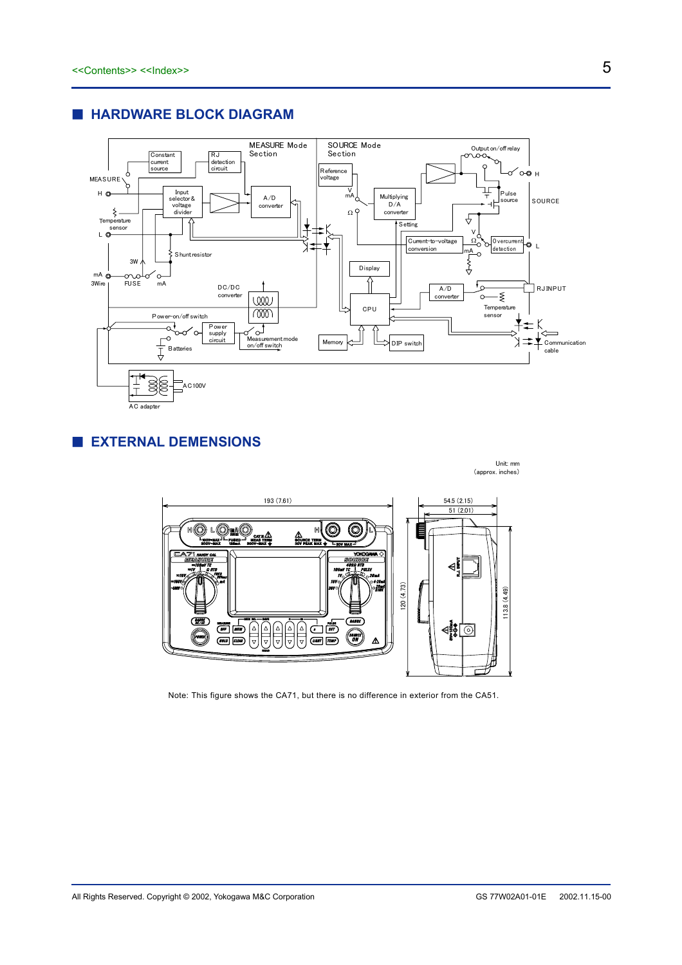

### **E HARDWARE BLOCK DIAGRAM**

 **EXTERNAL DEMENSIONS** 



Note: This figure shows the CA71, but there is no difference in exterior from the CA51.

Unit: mm